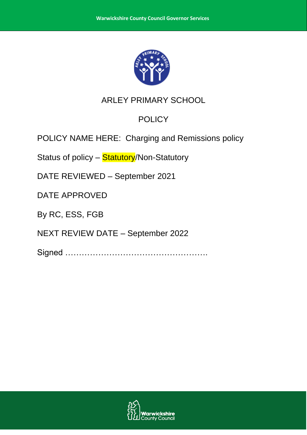

# ARLEY PRIMARY SCHOOL

# **POLICY**

POLICY NAME HERE: Charging and Remissions policy

Status of policy - Statutory/Non-Statutory

DATE REVIEWED – September 2021

DATE APPROVED

By RC, ESS, FGB

NEXT REVIEW DATE – September 2022

Signed …………………………………………….

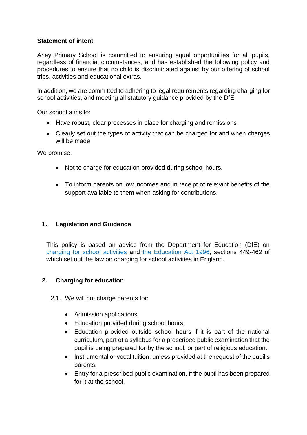### **Statement of intent**

Arley Primary School is committed to ensuring equal opportunities for all pupils, regardless of financial circumstances, and has established the following policy and procedures to ensure that no child is discriminated against by our offering of school trips, activities and educational extras.

In addition, we are committed to adhering to legal requirements regarding charging for school activities, and meeting all statutory guidance provided by the DfE.

Our school aims to:

- Have robust, clear processes in place for charging and remissions
- Clearly set out the types of activity that can be charged for and when charges will be made

We promise:

- Not to charge for education provided during school hours.
- To inform parents on low incomes and in receipt of relevant benefits of the support available to them when asking for contributions.

### **1. Legislation and Guidance**

This policy is based on advice from the Department for Education (DfE) on [charging for school activities](https://www.gov.uk/government/publications/charging-for-school-activities) and [the Education Act 1996,](http://www.legislation.gov.uk/ukpga/1996/56/part/VI/chapter/III) sections 449-462 of which set out the law on charging for school activities in England.

### **2. Charging for education**

- 2.1. We will not charge parents for:
	- Admission applications.
	- Education provided during school hours.
	- Education provided outside school hours if it is part of the national curriculum, part of a syllabus for a prescribed public examination that the pupil is being prepared for by the school, or part of religious education.
	- Instrumental or vocal tuition, unless provided at the request of the pupil's parents.
	- Entry for a prescribed public examination, if the pupil has been prepared for it at the school.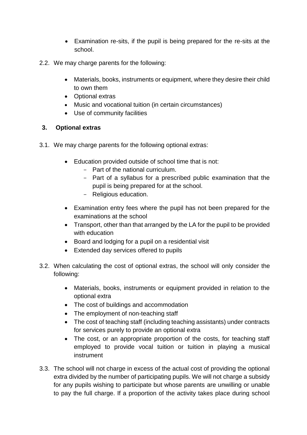- Examination re-sits, if the pupil is being prepared for the re-sits at the school.
- 2.2. We may charge parents for the following:
	- Materials, books, instruments or equipment, where they desire their child to own them
	- Optional extras
	- Music and vocational tuition (in certain circumstances)
	- Use of community facilities

## **3. Optional extras**

- 3.1. We may charge parents for the following optional extras:
	- Education provided outside of school time that is not:
		- Part of the national curriculum.
		- Part of a syllabus for a prescribed public examination that the pupil is being prepared for at the school.
		- Religious education.
	- Examination entry fees where the pupil has not been prepared for the examinations at the school
	- Transport, other than that arranged by the LA for the pupil to be provided with education
	- Board and lodging for a pupil on a residential visit
	- Extended day services offered to pupils
- 3.2. When calculating the cost of optional extras, the school will only consider the following:
	- Materials, books, instruments or equipment provided in relation to the optional extra
	- The cost of buildings and accommodation
	- The employment of non-teaching staff
	- The cost of teaching staff (including teaching assistants) under contracts for services purely to provide an optional extra
	- The cost, or an appropriate proportion of the costs, for teaching staff employed to provide vocal tuition or tuition in playing a musical instrument
- 3.3. The school will not charge in excess of the actual cost of providing the optional extra divided by the number of participating pupils. We will not charge a subsidy for any pupils wishing to participate but whose parents are unwilling or unable to pay the full charge. If a proportion of the activity takes place during school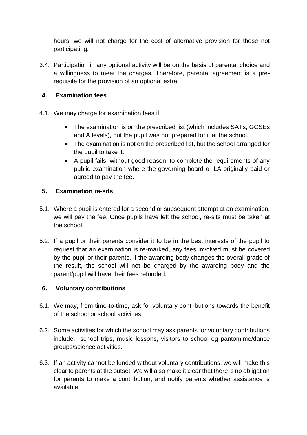hours, we will not charge for the cost of alternative provision for those not participating.

3.4. Participation in any optional activity will be on the basis of parental choice and a willingness to meet the charges. Therefore, parental agreement is a prerequisite for the provision of an optional extra.

### **4. Examination fees**

- 4.1. We may charge for examination fees if:
	- The examination is on the prescribed list (which includes SATs, GCSEs and A levels), but the pupil was not prepared for it at the school.
	- The examination is not on the prescribed list, but the school arranged for the pupil to take it.
	- A pupil fails, without good reason, to complete the requirements of any public examination where the governing board or LA originally paid or agreed to pay the fee.

## **5. Examination re-sits**

- 5.1. Where a pupil is entered for a second or subsequent attempt at an examination, we will pay the fee. Once pupils have left the school, re-sits must be taken at the school.
- 5.2. If a pupil or their parents consider it to be in the best interests of the pupil to request that an examination is re-marked, any fees involved must be covered by the pupil or their parents. If the awarding body changes the overall grade of the result, the school will not be charged by the awarding body and the parent/pupil will have their fees refunded.

## **6. Voluntary contributions**

- 6.1. We may, from time-to-time, ask for voluntary contributions towards the benefit of the school or school activities.
- 6.2. Some activities for which the school may ask parents for voluntary contributions include: school trips, music lessons, visitors to school eg pantomime/dance groups/science activities.
- 6.3. If an activity cannot be funded without voluntary contributions, we will make this clear to parents at the outset. We will also make it clear that there is no obligation for parents to make a contribution, and notify parents whether assistance is available.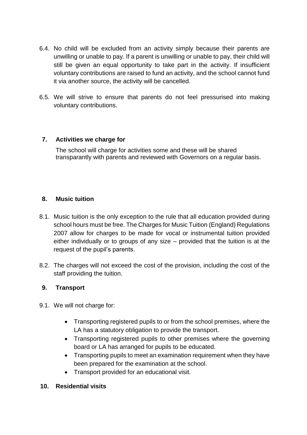- 6.4. No child will be excluded from an activity simply because their parents are unwilling or unable to pay. If a parent is unwilling or unable to pay, their child will still be given an equal opportunity to take part in the activity. If insufficient voluntary contributions are raised to fund an activity, and the school cannot fund it via another source, the activity will be cancelled.
- 6.5. We will strive to ensure that parents do not feel pressurised into making voluntary contributions.

### **7. Activities we charge for**

The school will charge for activities some and these will be shared transparantly with parents and reviewed with Governors on a regular basis.

#### **8. Music tuition**

- 8.1. Music tuition is the only exception to the rule that all education provided during school hours must be free. The Charges for Music Tuition (England) Regulations 2007 allow for charges to be made for vocal or instrumental tuition provided either individually or to groups of any size – provided that the tuition is at the request of the pupil's parents.
- 8.2. The charges will not exceed the cost of the provision, including the cost of the staff providing the tuition.

### **9. Transport**

- 9.1. We will not charge for:
	- Transporting registered pupils to or from the school premises, where the LA has a statutory obligation to provide the transport.
	- Transporting registered pupils to other premises where the governing board or LA has arranged for pupils to be educated.
	- Transporting pupils to meet an examination requirement when they have been prepared for the examination at the school.
	- Transport provided for an educational visit.

### **10. Residential visits**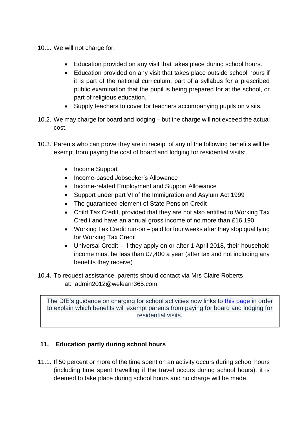- 10.1. We will not charge for:
	- Education provided on any visit that takes place during school hours.
	- Education provided on any visit that takes place outside school hours if it is part of the national curriculum, part of a syllabus for a prescribed public examination that the pupil is being prepared for at the school, or part of religious education.
	- Supply teachers to cover for teachers accompanying pupils on visits.
- 10.2. We may charge for board and lodging but the charge will not exceed the actual cost.
- 10.3. Parents who can prove they are in receipt of any of the following benefits will be exempt from paying the cost of board and lodging for residential visits:
	- Income Support
	- Income-based Jobseeker's Allowance
	- Income-related Employment and Support Allowance
	- Support under part VI of the Immigration and Asylum Act 1999
	- The guaranteed element of State Pension Credit
	- Child Tax Credit, provided that they are not also entitled to Working Tax Credit and have an annual gross income of no more than £16,190
	- Working Tax Credit run-on paid for four weeks after they stop qualifying for Working Tax Credit
	- Universal Credit if they apply on or after 1 April 2018, their household income must be less than £7,400 a year (after tax and not including any benefits they receive)
- 10.4. To request assistance, parents should contact via Mrs Claire Roberts at: admin2012@welearn365.com

The DfE's guidance on charging for school activities now links to [this page](https://www.gov.uk/apply-free-school-meals) in order to explain which benefits will exempt parents from paying for board and lodging for residential visits.

## **11. Education partly during school hours**

11.1. If 50 percent or more of the time spent on an activity occurs during school hours (including time spent travelling if the travel occurs during school hours), it is deemed to take place during school hours and no charge will be made.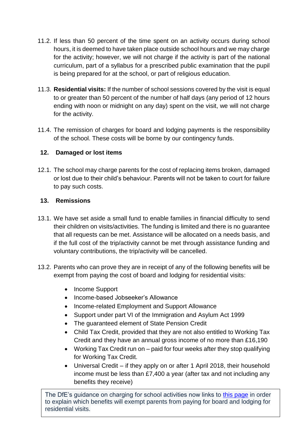- 11.2. If less than 50 percent of the time spent on an activity occurs during school hours, it is deemed to have taken place outside school hours and we may charge for the activity; however, we will not charge if the activity is part of the national curriculum, part of a syllabus for a prescribed public examination that the pupil is being prepared for at the school, or part of religious education.
- 11.3. **Residential visits:** If the number of school sessions covered by the visit is equal to or greater than 50 percent of the number of half days (any period of 12 hours ending with noon or midnight on any day) spent on the visit, we will not charge for the activity.
- 11.4. The remission of charges for board and lodging payments is the responsibility of the school. These costs will be borne by our contingency funds.

## **12. Damaged or lost items**

12.1. The school may charge parents for the cost of replacing items broken, damaged or lost due to their child's behaviour. Parents will not be taken to court for failure to pay such costs.

# **13. Remissions**

- 13.1. We have set aside a small fund to enable families in financial difficulty to send their children on visits/activities. The funding is limited and there is no guarantee that all requests can be met. Assistance will be allocated on a needs basis, and if the full cost of the trip/activity cannot be met through assistance funding and voluntary contributions, the trip/activity will be cancelled.
- 13.2. Parents who can prove they are in receipt of any of the following benefits will be exempt from paying the cost of board and lodging for residential visits:
	- Income Support
	- Income-based Jobseeker's Allowance
	- Income-related Employment and Support Allowance
	- Support under part VI of the Immigration and Asylum Act 1999
	- The guaranteed element of State Pension Credit
	- Child Tax Credit, provided that they are not also entitled to Working Tax Credit and they have an annual gross income of no more than £16,190
	- Working Tax Credit run on paid for four weeks after they stop qualifying for Working Tax Credit.
	- Universal Credit if they apply on or after 1 April 2018, their household income must be less than £7,400 a year (after tax and not including any benefits they receive)

The DfE's guidance on charging for school activities now links to [this page](https://www.gov.uk/apply-free-school-meals) in order to explain which benefits will exempt parents from paying for board and lodging for residential visits.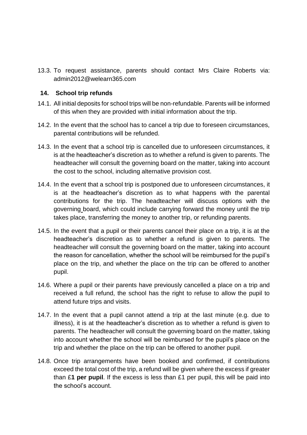13.3. To request assistance, parents should contact Mrs Claire Roberts via: admin2012@welearn365.com

#### **14. School trip refunds**

- 14.1. All initial deposits for school trips will be non-refundable. Parents will be informed of this when they are provided with initial information about the trip.
- 14.2. In the event that the school has to cancel a trip due to foreseen circumstances, parental contributions will be refunded.
- 14.3. In the event that a school trip is cancelled due to unforeseen circumstances, it is at the headteacher's discretion as to whether a refund is given to parents. The headteacher will consult the governing board on the matter, taking into account the cost to the school, including alternative provision cost.
- 14.4. In the event that a school trip is postponed due to unforeseen circumstances, it is at the headteacher's discretion as to what happens with the parental contributions for the trip. The headteacher will discuss options with the governing board, which could include carrying forward the money until the trip takes place, transferring the money to another trip, or refunding parents.
- 14.5. In the event that a pupil or their parents cancel their place on a trip, it is at the headteacher's discretion as to whether a refund is given to parents. The headteacher will consult the governing board on the matter, taking into account the reason for cancellation, whether the school will be reimbursed for the pupil's place on the trip, and whether the place on the trip can be offered to another pupil.
- 14.6. Where a pupil or their parents have previously cancelled a place on a trip and received a full refund, the school has the right to refuse to allow the pupil to attend future trips and visits.
- 14.7. In the event that a pupil cannot attend a trip at the last minute (e.g. due to illness), it is at the headteacher's discretion as to whether a refund is given to parents. The headteacher will consult the governing board on the matter, taking into account whether the school will be reimbursed for the pupil's place on the trip and whether the place on the trip can be offered to another pupil.
- 14.8. Once trip arrangements have been booked and confirmed, if contributions exceed the total cost of the trip, a refund will be given where the excess if greater than £**1 per pupil**. If the excess is less than £1 per pupil, this will be paid into the school's account.